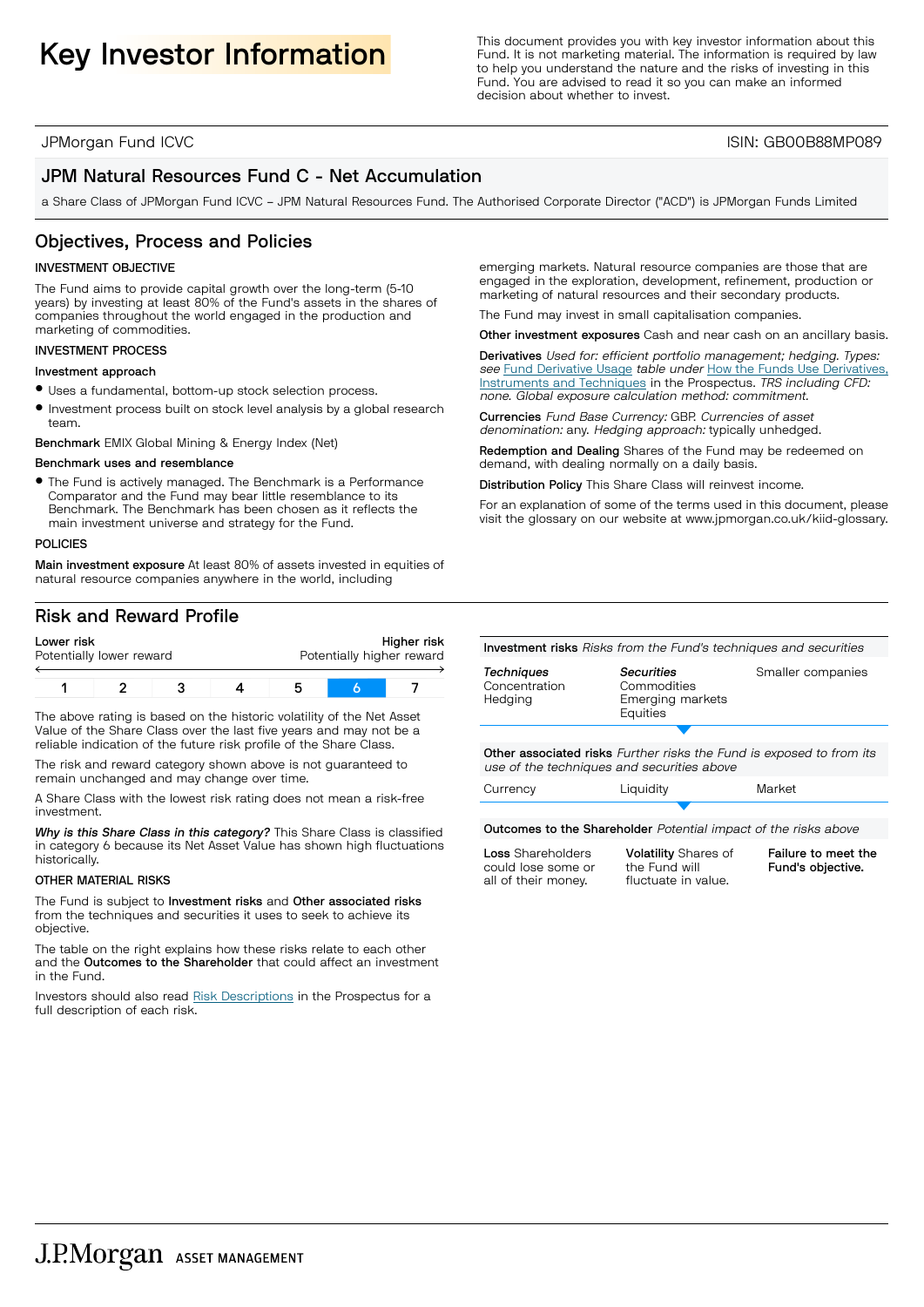Key Investor Information **Information**<br>
Fund. It is not marketing material. The information is required by law<br>
to below understand the pature and the risks of investing in this Fund. It is not marketing material. The information is required by law to help you understand the nature and the risks of investing in this Fund. You are advised to read it so you can make an informed decision about whether to invest.

### JPMorgan Fund ICVC ISIN: GB00B88MP089

## JPM Natural Resources Fund C - Net Accumulation

a Share Class of JPMorgan Fund ICVC – JPM Natural Resources Fund. The Authorised Corporate Director ("ACD") is JPMorgan Funds Limited

## Objectives, Process and Policies

#### INVESTMENT OBJECTIVE

The Fund aims to provide capital growth over the long-term (5-10 years) by investing at least 80% of the Fund's assets in the shares of companies throughout the world engaged in the production and marketing of commodities.

#### INVESTMENT PROCESS

#### Investment approach

- $\bullet$  Uses a fundamental, bottom-up stock selection process.
- Investment process built on stock level analysis by a global research team.

Benchmark EMIX Global Mining & Energy Index (Net)

#### Benchmark uses and resemblance

**•** The Fund is actively managed. The Benchmark is a Performance Comparator and the Fund may bear little resemblance to its Benchmark. The Benchmark has been chosen as it reflects the main investment universe and strategy for the Fund.

#### POLICIES

Main investment exposure At least 80% of assets invested in equities of natural resource companies anywhere in the world, including

## Risk and Reward Profile

| Lower risk<br>Potentially lower reward |  | Higher risk<br>Potentially higher reward |  |  |
|----------------------------------------|--|------------------------------------------|--|--|
|                                        |  |                                          |  |  |

The above rating is based on the historic volatility of the Net Asset Value of the Share Class over the last five years and may not be a reliable indication of the future risk profile of the Share Class.

The risk and reward category shown above is not guaranteed to remain unchanged and may change over time.

A Share Class with the lowest risk rating does not mean a risk-free investment.

*Why is this Share Class in this category?* This Share Class is classified in category 6 because its Net Asset Value has shown high fluctuations historically.

#### OTHER MATERIAL RISKS

The Fund is subject to Investment risks and Other associated risks from the techniques and securities it uses to seek to achieve its objective.

The table on the right explains how these risks relate to each other and the Outcomes to the Shareholder that could affect an investment in the Fund.

Investors should also read Risk [Descriptions](https://am.jpmorgan.com/gb/en/asset-management/adv/products/fund-explorer/oeics) in the Prospectus for a full description of each risk.

emerging markets. Natural resource companies are those that are engaged in the exploration, development, refinement, production or marketing of natural resources and their secondary products.

The Fund may invest in small capitalisation companies.

Other investment exposures Cash and near cash on an ancillary basis.

Derivatives Used for: efficient portfolio management; hedging. Types: see Fund [Derivative](https://am.jpmorgan.com/gb/en/asset-management/adv/products/fund-explorer/oeics) Usage table under How the Funds Use [Derivatives,](https://am.jpmorgan.com/gb/en/asset-management/adv/products/fund-explorer/oeics) [Instruments](https://am.jpmorgan.com/gb/en/asset-management/adv/products/fund-explorer/oeics) and Techniques in the Prospectus. TRS including CFD: none. Global exposure calculation method: commitment.

Currencies Fund Base Currency: GBP. Currencies of asset denomination: any. Hedging approach: typically unhedged.

Redemption and Dealing Shares of the Fund may be redeemed on demand, with dealing normally on a daily basis.

Distribution Policy This Share Class will reinvest income.

For an explanation of some of the terms used in this document, please visit the glossary on our website at [www.jpmorgan.co.uk/kiid-glossary.](www.jpmorgan.co.uk/kiid-glossary)

Investment risks Risks from the Fund's techniques and securities

| <b>Techniques</b> |  |
|-------------------|--|
| Concentration     |  |
| Hedging           |  |
|                   |  |

*Securities* Commodities Emerging markets **Equities** 

Smaller companies

S Other associated risks Further risks the Fund is exposed to from its use of the techniques and securities above

| Currency                                                               | Liquidity | Market |  |  |  |
|------------------------------------------------------------------------|-----------|--------|--|--|--|
|                                                                        |           |        |  |  |  |
| <b>Outcomes to the Shareholder</b> Potential impact of the risks above |           |        |  |  |  |

Loss Shareholders could lose some or all of their money.

Volatility Shares of the Fund will fluctuate in value.

Failure to meet the Fund's objective.

J.P.Morgan ASSET MANAGEMENT